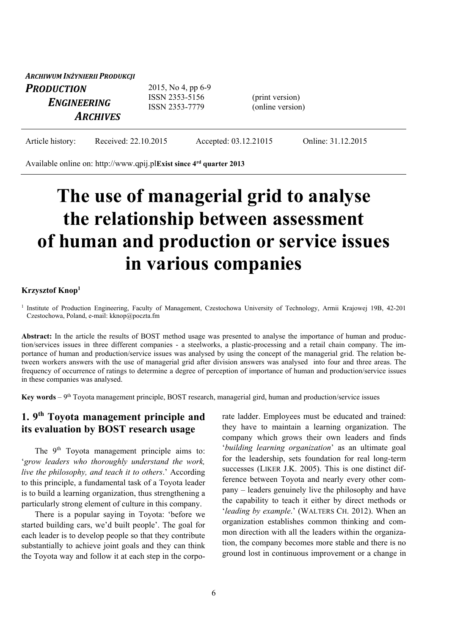*ARCHIWUM INŻYNIERII PRODUKCJI PRODUCTION ENGINEERING ARCHIVES* 2015, No 4, pp 6-9 ISSN 2353-5156 ISSN 2353-7779 (print version) (online version)

Article history: Received: 22.10.2015 Accepted: 03.12.21015 Online: 31.12.2015

Available online on: http://www.qpij.pl**Exist since 4rd quarter 2013**

# **The use of managerial grid to analyse the relationship between assessment of human and production or service issues in various companies**

#### **Krzysztof Knop1**

<sup>1</sup> Institute of Production Engineering, Faculty of Management, Czestochowa University of Technology, Armii Krajowej 19B, 42-201 Czestochowa, Poland, e-mail: kknop@poczta.fm

**Abstract:** In the article the results of BOST method usage was presented to analyse the importance of human and production/services issues in three different companies - a steelworks, a plastic-processing and a retail chain company. The importance of human and production/service issues was analysed by using the concept of the managerial grid. The relation between workers answers with the use of managerial grid after division answers was analysed into four and three areas. The frequency of occurrence of ratings to determine a degree of perception of importance of human and production/service issues in these companies was analysed.

**Key words** – 9th Toyota management principle, BOST research, managerial gird, human and production/service issues

# **1. 9th Toyota management principle and its evaluation by BOST research usage**

The 9<sup>th</sup> Toyota management principle aims to: '*grow leaders who thoroughly understand the work, live the philosophy, and teach it to others*.' According to this principle, a fundamental task of a Toyota leader is to build a learning organization, thus strengthening a particularly strong element of culture in this company.

There is a popular saying in Toyota: 'before we started building cars, we'd built people'. The goal for each leader is to develop people so that they contribute substantially to achieve joint goals and they can think the Toyota way and follow it at each step in the corporate ladder. Employees must be educated and trained: they have to maintain a learning organization. The company which grows their own leaders and finds '*building learning organization*' as an ultimate goal for the leadership, sets foundation for real long-term successes (LIKER J.K. 2005). This is one distinct difference between Toyota and nearly every other company – leaders genuinely live the philosophy and have the capability to teach it either by direct methods or '*leading by example*.' (WALTERS CH. 2012). When an organization establishes common thinking and common direction with all the leaders within the organization, the company becomes more stable and there is no ground lost in continuous improvement or a change in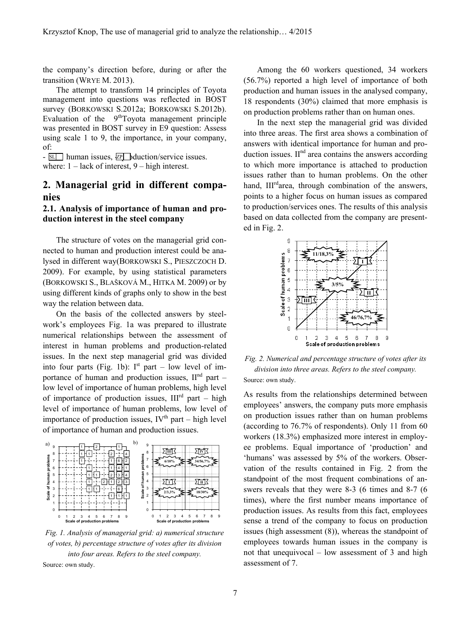the company's direction before, during or after the transition (WRYE M. 2013).

The attempt to transform 14 principles of Toyota management into questions was reflected in BOST survey (BORKOWSKI S.2012a; BORKOWSKI S.2012b). Evaluation of the  $9<sup>th</sup>$ Toyota management principle was presented in BOST survey in E9 question: Assess using scale 1 to 9, the importance, in your company, of:

 $-$  SL human issues,  $\mathbb{Z}$  duction/service issues. where:  $1 - \text{lack of interest}, 9 - \text{high interest}.$ 

# **2. Managerial grid in different companies**

#### **2.1. Analysis of importance of human and production interest in the steel company**

The structure of votes on the managerial grid connected to human and production interest could be analysed in different way(BORKOWSKI S., PIESZCZOCH D. 2009). For example, by using statistical parameters (BORKOWSKI S., BLAŠKOVÁ M., HITKA M. 2009) or by using different kinds of graphs only to show in the best way the relation between data.

On the basis of the collected answers by steelwork's employees Fig. 1a was prepared to illustrate numerical relationships between the assessment of interest in human problems and production-related issues. In the next step managerial grid was divided into four parts (Fig. 1b):  $I^{st}$  part – low level of importance of human and production issues,  $II<sup>nd</sup>$  part – low level of importance of human problems, high level of importance of production issues,  $III^{rd}$  part – high level of importance of human problems, low level of importance of production issues,  $IV<sup>th</sup>$  part – high level of importance of human and production issues.



*Fig. 1. Analysis of managerial grid: a) numerical structure of votes, b) percentage structure of votes after its division into four areas. Refers to the steel company.* 

Source: own study.

Among the 60 workers questioned, 34 workers (56.7%) reported a high level of importance of both production and human issues in the analysed company, 18 respondents (30%) claimed that more emphasis is on production problems rather than on human ones.

In the next step the managerial grid was divided into three areas. The first area shows a combination of answers with identical importance for human and production issues.  $II<sup>nd</sup>$  area contains the answers according to which more importance is attached to production issues rather than to human problems. On the other hand, III<sup>rd</sup>area, through combination of the answers, points to a higher focus on human issues as compared to production/services ones. The results of this analysis based on data collected from the company are presented in Fig. 2.



*Fig. 2. Numerical and percentage structure of votes after its division into three areas. Refers to the steel company.*  Source: own study.

As results from the relationships determined between employees' answers, the company puts more emphasis on production issues rather than on human problems (according to 76.7% of respondents). Only 11 from 60 workers (18.3%) emphasized more interest in employee problems. Equal importance of 'production' and 'humans' was assessed by 5% of the workers. Observation of the results contained in Fig. 2 from the standpoint of the most frequent combinations of answers reveals that they were 8-3 (6 times and 8-7 (6 times), where the first number means importance of production issues. As results from this fact, employees sense a trend of the company to focus on production issues (high assessment (8)), whereas the standpoint of employees towards human issues in the company is not that unequivocal – low assessment of 3 and high assessment of 7.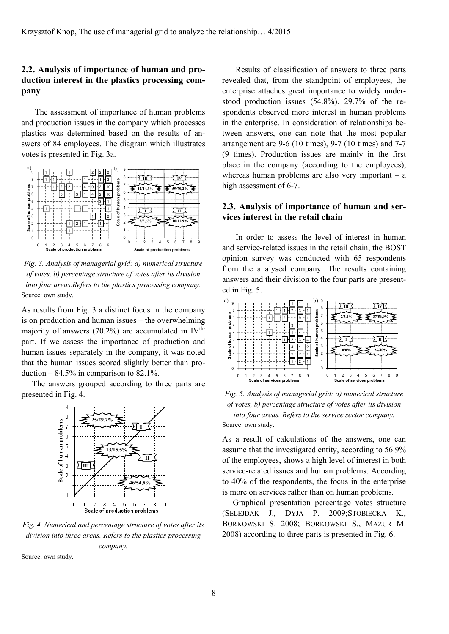## **2.2. Analysis of importance of human and production interest in the plastics processing company**

The assessment of importance of human problems and production issues in the company which processes plastics was determined based on the results of answers of 84 employees. The diagram which illustrates votes is presented in Fig. 3a.



*Fig. 3. Analysis of managerial grid: a) numerical structure of votes, b) percentage structure of votes after its division into four areas.Refers to the plastics processing company.*  Source: own study.

As results from Fig. 3 a distinct focus in the company is on production and human issues – the overwhelming majority of answers  $(70.2%)$  are accumulated in IV<sup>th-</sup> part. If we assess the importance of production and human issues separately in the company, it was noted that the human issues scored slightly better than production  $-84.5\%$  in comparison to 82.1%.

The answers grouped according to three parts are presented in Fig. 4.



*Fig. 4. Numerical and percentage structure of votes after its division into three areas. Refers to the plastics processing company.* 

Source: own study.

Results of classification of answers to three parts revealed that, from the standpoint of employees, the enterprise attaches great importance to widely understood production issues (54.8%). 29.7% of the respondents observed more interest in human problems in the enterprise. In consideration of relationships between answers, one can note that the most popular arrangement are 9-6 (10 times), 9-7 (10 times) and 7-7 (9 times). Production issues are mainly in the first place in the company (according to the employees), whereas human problems are also very important – a high assessment of 6-7.

#### **2.3. Analysis of importance of human and services interest in the retail chain**

In order to assess the level of interest in human and service-related issues in the retail chain, the BOST opinion survey was conducted with 65 respondents from the analysed company. The results containing answers and their division to the four parts are presented in Fig. 5.



*Fig. 5. Analysis of managerial grid: a) numerical structure of votes, b) percentage structure of votes after its division into four areas. Refers to the service sector company.*  Source: own study.

As a result of calculations of the answers, one can assume that the investigated entity, according to 56.9% of the employees, shows a high level of interest in both service-related issues and human problems. According to 40% of the respondents, the focus in the enterprise is more on services rather than on human problems.

Graphical presentation percentage votes structure (SELEJDAK J., DYJA P. 2009;STOBIECKA K., BORKOWSKI S. 2008; BORKOWSKI S., MAZUR M. 2008) according to three parts is presented in Fig. 6.